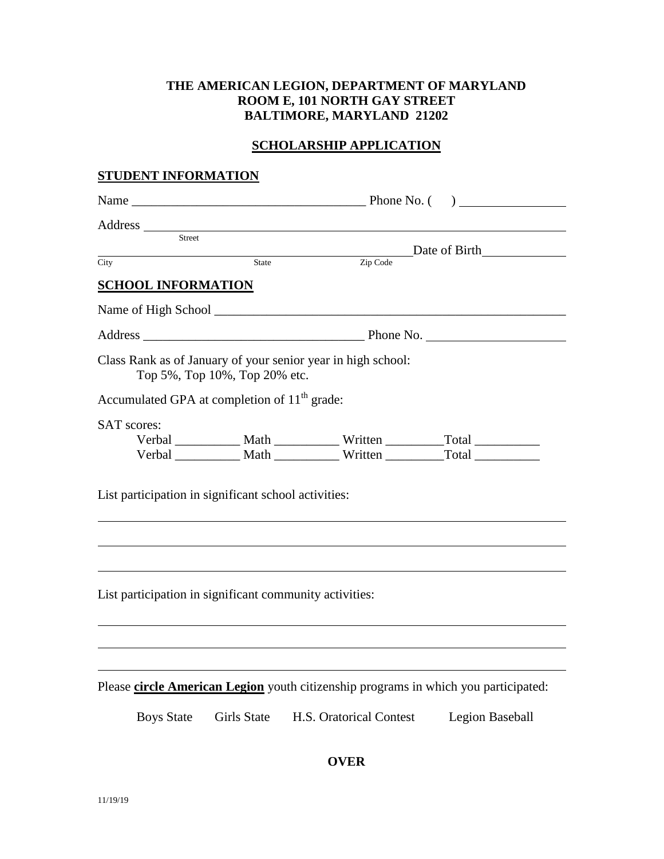# **THE AMERICAN LEGION, DEPARTMENT OF MARYLAND ROOM E, 101 NORTH GAY STREET BALTIMORE, MARYLAND 21202**

# **SCHOLARSHIP APPLICATION**

#### **STUDENT INFORMATION**

| Street                                                   |                               |                                                                                     |                 |  |
|----------------------------------------------------------|-------------------------------|-------------------------------------------------------------------------------------|-----------------|--|
| City                                                     | State                         | Zip Code                                                                            | Date of Birth   |  |
|                                                          |                               |                                                                                     |                 |  |
| <b>SCHOOL INFORMATION</b>                                |                               |                                                                                     |                 |  |
|                                                          |                               |                                                                                     |                 |  |
|                                                          |                               |                                                                                     |                 |  |
|                                                          | Top 5%, Top 10%, Top 20% etc. | Class Rank as of January of your senior year in high school:                        |                 |  |
| Accumulated GPA at completion of 11 <sup>th</sup> grade: |                               |                                                                                     |                 |  |
| <b>SAT</b> scores:                                       |                               |                                                                                     |                 |  |
|                                                          |                               | Verbal _____________ Math ______________ Written ______________Total ____________   |                 |  |
|                                                          |                               | Verbal _____________ Math _______________ Written ______________Total ___________   |                 |  |
| List participation in significant school activities:     |                               |                                                                                     |                 |  |
| List participation in significant community activities:  |                               |                                                                                     |                 |  |
|                                                          |                               | Please circle American Legion youth citizenship programs in which you participated: |                 |  |
|                                                          |                               |                                                                                     |                 |  |
| <b>Boys State</b>                                        | <b>Girls State</b>            | H.S. Oratorical Contest                                                             | Legion Baseball |  |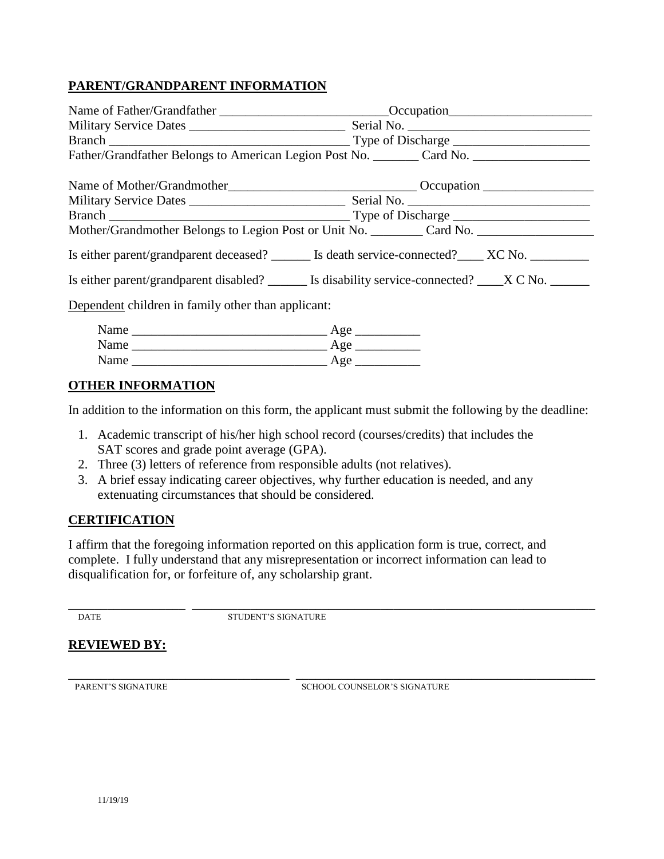# **PARENT/GRANDPARENT INFORMATION**

| Father/Grandfather Belongs to American Legion Post No. ________ Card No. __________________________  |  |  |
|------------------------------------------------------------------------------------------------------|--|--|
|                                                                                                      |  |  |
|                                                                                                      |  |  |
|                                                                                                      |  |  |
| Mother/Grandmother Belongs to Legion Post or Unit No. _________ Card No. ___________________________ |  |  |
| Is either parent/grandparent deceased? ________ Is death service-connected? _____ XC No. __________  |  |  |
| Is either parent/grandparent disabled? ________ Is disability service-connected? _____X C No. ______ |  |  |
| Dependent children in family other than applicant:                                                   |  |  |
|                                                                                                      |  |  |
|                                                                                                      |  |  |

### **OTHER INFORMATION**

In addition to the information on this form, the applicant must submit the following by the deadline:

- 1. Academic transcript of his/her high school record (courses/credits) that includes the SAT scores and grade point average (GPA).
- 2. Three (3) letters of reference from responsible adults (not relatives).

Name \_\_\_\_\_\_\_\_\_\_\_\_\_\_\_\_\_\_\_\_\_\_\_\_\_\_\_\_\_\_ Age \_\_\_\_\_\_\_\_\_\_

3. A brief essay indicating career objectives, why further education is needed, and any extenuating circumstances that should be considered.

### **CERTIFICATION**

I affirm that the foregoing information reported on this application form is true, correct, and complete. I fully understand that any misrepresentation or incorrect information can lead to disqualification for, or forfeiture of, any scholarship grant.

\_\_\_\_\_\_\_\_\_\_\_\_\_\_\_\_\_\_ \_\_\_\_\_\_\_\_\_\_\_\_\_\_\_\_\_\_\_\_\_\_\_\_\_\_\_\_\_\_\_\_\_\_\_\_\_\_\_\_\_\_\_\_\_\_\_\_\_\_\_\_\_\_\_\_\_\_\_\_\_\_ DATE STUDENT'S SIGNATURE

#### **REVIEWED BY:**

\_\_\_\_\_\_\_\_\_\_\_\_\_\_\_\_\_\_\_\_\_\_\_\_\_\_\_\_\_\_\_\_\_\_ \_\_\_\_\_\_\_\_\_\_\_\_\_\_\_\_\_\_\_\_\_\_\_\_\_\_\_\_\_\_\_\_\_\_\_\_\_\_\_\_\_\_\_\_\_\_ PARENT'S SIGNATURE SCHOOL COUNSELOR'S SIGNATURE